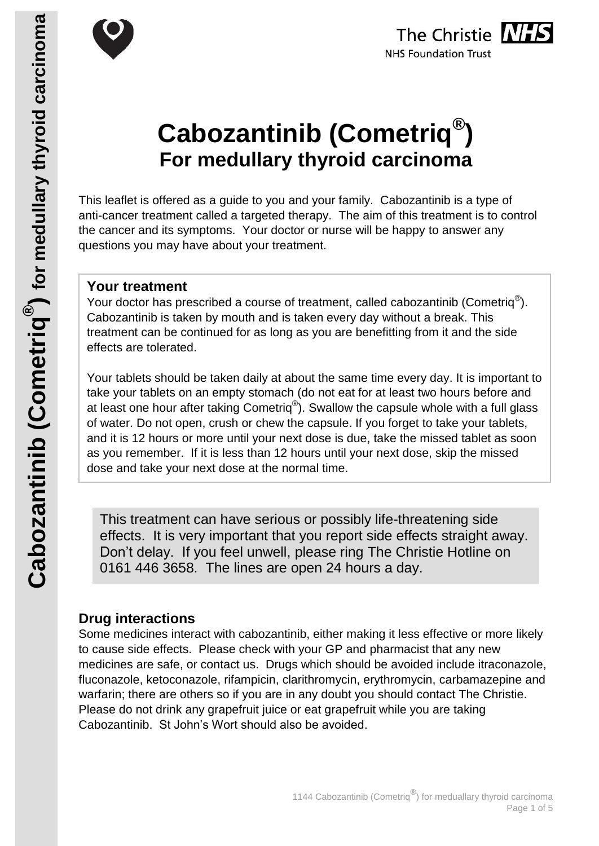



# **Cabozantinib (Cometriq® ) For medullary thyroid carcinoma**

This leaflet is offered as a guide to you and your family. Cabozantinib is a type of anti-cancer treatment called a targeted therapy. The aim of this treatment is to control the cancer and its symptoms. Your doctor or nurse will be happy to answer any questions you may have about your treatment.

# **Your treatment**

Your doctor has prescribed a course of treatment, called cabozantinib (Cometriq $^{\circledR}$ ). Cabozantinib is taken by mouth and is taken every day without a break. This treatment can be continued for as long as you are benefitting from it and the side effects are tolerated.

Your tablets should be taken daily at about the same time every day. It is important to take your tablets on an empty stomach (do not eat for at least two hours before and at least one hour after taking Cometriq $^{\circledR}$ ). Swallow the capsule whole with a full glass of water. Do not open, crush or chew the capsule. If you forget to take your tablets, and it is 12 hours or more until your next dose is due, take the missed tablet as soon as you remember. If it is less than 12 hours until your next dose, skip the missed dose and take your next dose at the normal time.

This treatment can have serious or possibly life-threatening side effects. It is very important that you report side effects straight away. Don't delay. If you feel unwell, please ring The Christie Hotline on 0161 446 3658. The lines are open 24 hours a day.

# **Drug interactions**

Some medicines interact with cabozantinib, either making it less effective or more likely to cause side effects. Please check with your GP and pharmacist that any new medicines are safe, or contact us. Drugs which should be avoided include itraconazole, fluconazole, ketoconazole, rifampicin, clarithromycin, erythromycin, carbamazepine and warfarin; there are others so if you are in any doubt you should contact The Christie. Please do not drink any grapefruit juice or eat grapefruit while you are taking Cabozantinib. St John's Wort should also be avoided.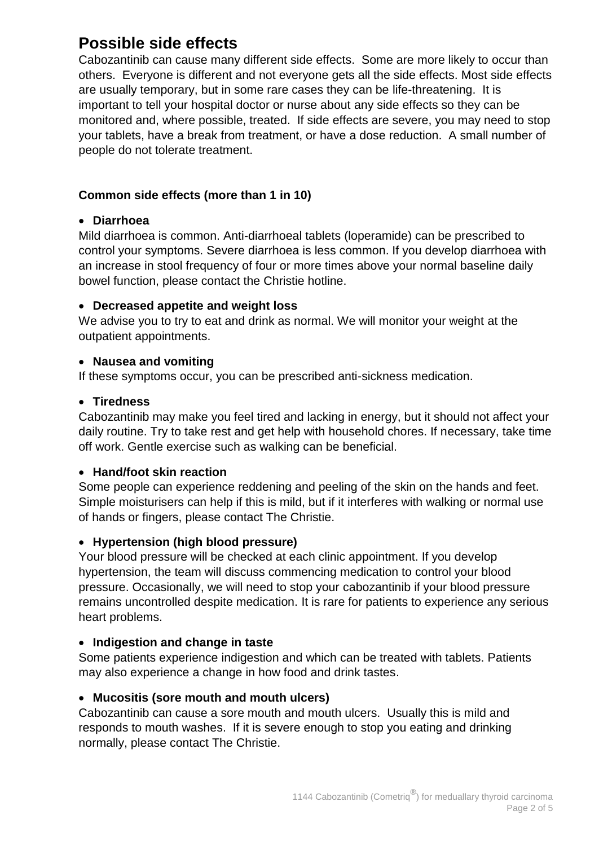# **Possible side effects**

Cabozantinib can cause many different side effects. Some are more likely to occur than others. Everyone is different and not everyone gets all the side effects. Most side effects are usually temporary, but in some rare cases they can be life-threatening. It is important to tell your hospital doctor or nurse about any side effects so they can be monitored and, where possible, treated. If side effects are severe, you may need to stop your tablets, have a break from treatment, or have a dose reduction. A small number of people do not tolerate treatment.

# **Common side effects (more than 1 in 10)**

# **Diarrhoea**

Mild diarrhoea is common. Anti-diarrhoeal tablets (loperamide) can be prescribed to control your symptoms. Severe diarrhoea is less common. If you develop diarrhoea with an increase in stool frequency of four or more times above your normal baseline daily bowel function, please contact the Christie hotline.

# **Decreased appetite and weight loss**

We advise you to try to eat and drink as normal. We will monitor your weight at the outpatient appointments.

# **Nausea and vomiting**

If these symptoms occur, you can be prescribed anti-sickness medication.

#### **Tiredness**

Cabozantinib may make you feel tired and lacking in energy, but it should not affect your daily routine. Try to take rest and get help with household chores. If necessary, take time off work. Gentle exercise such as walking can be beneficial.

#### **Hand/foot skin reaction**

Some people can experience reddening and peeling of the skin on the hands and feet. Simple moisturisers can help if this is mild, but if it interferes with walking or normal use of hands or fingers, please contact The Christie.

# **Hypertension (high blood pressure)**

Your blood pressure will be checked at each clinic appointment. If you develop hypertension, the team will discuss commencing medication to control your blood pressure. Occasionally, we will need to stop your cabozantinib if your blood pressure remains uncontrolled despite medication. It is rare for patients to experience any serious heart problems.

# **Indigestion and change in taste**

Some patients experience indigestion and which can be treated with tablets. Patients may also experience a change in how food and drink tastes.

# **Mucositis (sore mouth and mouth ulcers)**

Cabozantinib can cause a sore mouth and mouth ulcers. Usually this is mild and responds to mouth washes. If it is severe enough to stop you eating and drinking normally, please contact The Christie.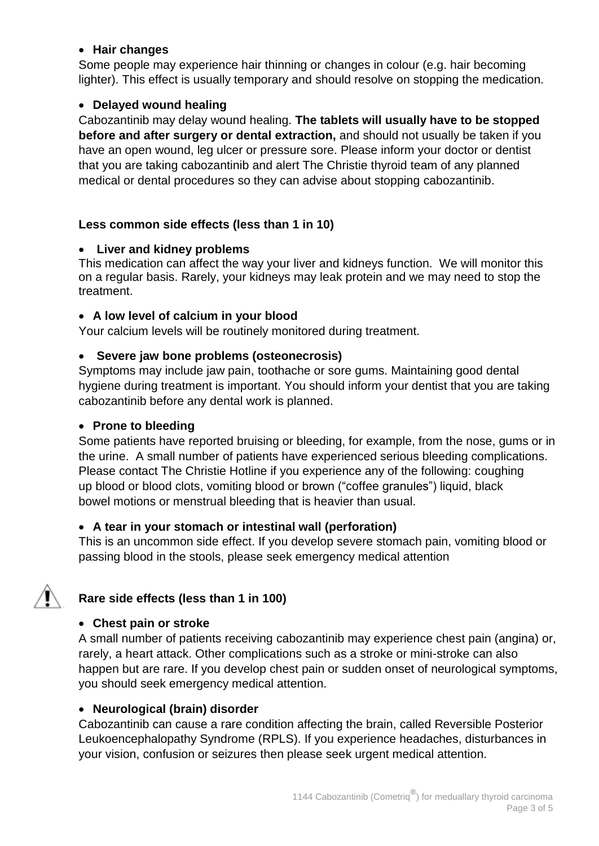#### **Hair changes**

Some people may experience hair thinning or changes in colour (e.g. hair becoming lighter). This effect is usually temporary and should resolve on stopping the medication.

#### **Delayed wound healing**

Cabozantinib may delay wound healing. **The tablets will usually have to be stopped before and after surgery or dental extraction,** and should not usually be taken if you have an open wound, leg ulcer or pressure sore. Please inform your doctor or dentist that you are taking cabozantinib and alert The Christie thyroid team of any planned medical or dental procedures so they can advise about stopping cabozantinib.

#### **Less common side effects (less than 1 in 10)**

#### **Liver and kidney problems**

This medication can affect the way your liver and kidneys function. We will monitor this on a regular basis. Rarely, your kidneys may leak protein and we may need to stop the treatment.

#### **A low level of calcium in your blood**

Your calcium levels will be routinely monitored during treatment.

#### **Severe jaw bone problems (osteonecrosis)**

Symptoms may include jaw pain, toothache or sore gums. Maintaining good dental hygiene during treatment is important. You should inform your dentist that you are taking cabozantinib before any dental work is planned.

#### **Prone to bleeding**

Some patients have reported bruising or bleeding, for example, from the nose, gums or in the urine. A small number of patients have experienced serious bleeding complications. Please contact The Christie Hotline if you experience any of the following: coughing up blood or blood clots, vomiting blood or brown ("coffee granules") liquid, black bowel motions or menstrual bleeding that is heavier than usual.

#### **A tear in your stomach or intestinal wall (perforation)**

This is an uncommon side effect. If you develop severe stomach pain, vomiting blood or passing blood in the stools, please seek emergency medical attention

# **Rare side effects (less than 1 in 100)**

#### **Chest pain or stroke**

A small number of patients receiving cabozantinib may experience chest pain (angina) or, rarely, a heart attack. Other complications such as a stroke or mini-stroke can also happen but are rare. If you develop chest pain or sudden onset of neurological symptoms, you should seek emergency medical attention.

#### **Neurological (brain) disorder**

Cabozantinib can cause a rare condition affecting the brain, called Reversible Posterior Leukoencephalopathy Syndrome (RPLS). If you experience headaches, disturbances in your vision, confusion or seizures then please seek urgent medical attention.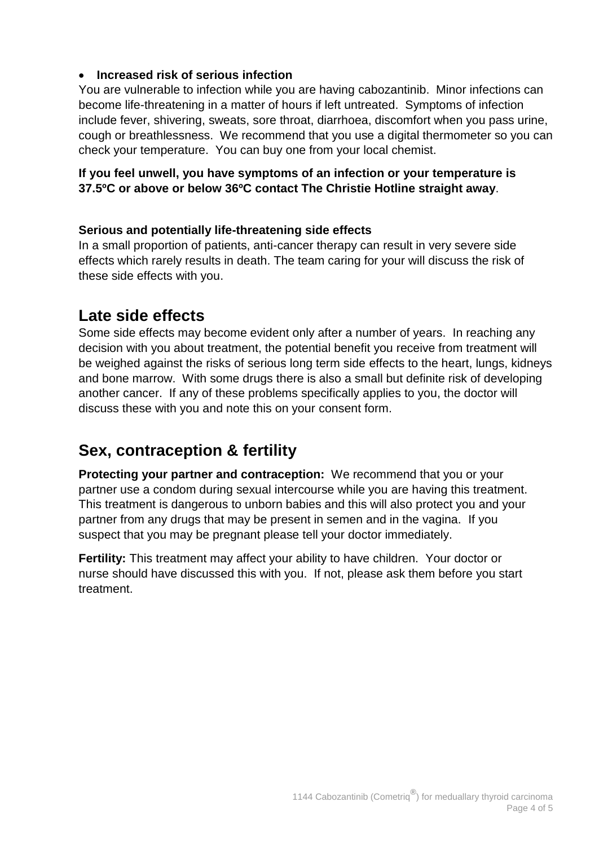#### **Increased risk of serious infection**

You are vulnerable to infection while you are having cabozantinib. Minor infections can become life-threatening in a matter of hours if left untreated. Symptoms of infection include fever, shivering, sweats, sore throat, diarrhoea, discomfort when you pass urine, cough or breathlessness. We recommend that you use a digital thermometer so you can check your temperature. You can buy one from your local chemist.

# **If you feel unwell, you have symptoms of an infection or your temperature is 37.5ºC or above or below 36ºC contact The Christie Hotline straight away**.

# **Serious and potentially life-threatening side effects**

In a small proportion of patients, anti-cancer therapy can result in very severe side effects which rarely results in death. The team caring for your will discuss the risk of these side effects with you.

# **Late side effects**

Some side effects may become evident only after a number of years. In reaching any decision with you about treatment, the potential benefit you receive from treatment will be weighed against the risks of serious long term side effects to the heart, lungs, kidneys and bone marrow. With some drugs there is also a small but definite risk of developing another cancer. If any of these problems specifically applies to you, the doctor will discuss these with you and note this on your consent form.

# **Sex, contraception & fertility**

**Protecting your partner and contraception:** We recommend that you or your partner use a condom during sexual intercourse while you are having this treatment. This treatment is dangerous to unborn babies and this will also protect you and your partner from any drugs that may be present in semen and in the vagina. If you suspect that you may be pregnant please tell your doctor immediately.

**Fertility:** This treatment may affect your ability to have children. Your doctor or nurse should have discussed this with you. If not, please ask them before you start treatment.